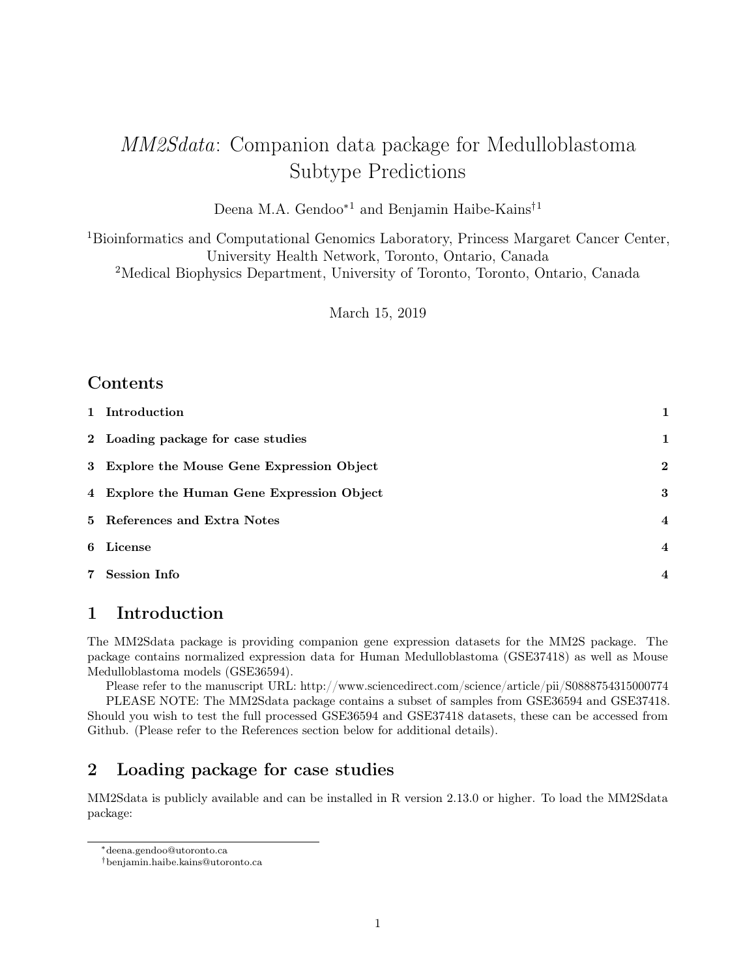# MM2Sdata: Companion data package for Medulloblastoma Subtype Predictions

Deena M.A. Gendoo∗1 and Benjamin Haibe-Kains†1

<sup>1</sup>Bioinformatics and Computational Genomics Laboratory, Princess Margaret Cancer Center, University Health Network, Toronto, Ontario, Canada <sup>2</sup>Medical Biophysics Department, University of Toronto, Toronto, Ontario, Canada

March 15, 2019

## Contents

| 1 Introduction                             | $\mathbf{1}$            |
|--------------------------------------------|-------------------------|
| 2 Loading package for case studies         | 1                       |
| 3 Explore the Mouse Gene Expression Object | $\boldsymbol{2}$        |
| 4 Explore the Human Gene Expression Object | 3                       |
| 5 References and Extra Notes               | $\overline{4}$          |
| 6 License                                  | $\overline{4}$          |
| 7 Session Info                             | $\overline{\mathbf{4}}$ |

# 1 Introduction

The MM2Sdata package is providing companion gene expression datasets for the MM2S package. The package contains normalized expression data for Human Medulloblastoma (GSE37418) as well as Mouse Medulloblastoma models (GSE36594).

Please refer to the manuscript URL: http://www.sciencedirect.com/science/article/pii/S0888754315000774 PLEASE NOTE: The MM2Sdata package contains a subset of samples from GSE36594 and GSE37418. Should you wish to test the full processed GSE36594 and GSE37418 datasets, these can be accessed from Github. (Please refer to the References section below for additional details).

# 2 Loading package for case studies

MM2Sdata is publicly available and can be installed in R version 2.13.0 or higher. To load the MM2Sdata package:

<sup>∗</sup>deena.gendoo@utoronto.ca

<sup>†</sup>benjamin.haibe.kains@utoronto.ca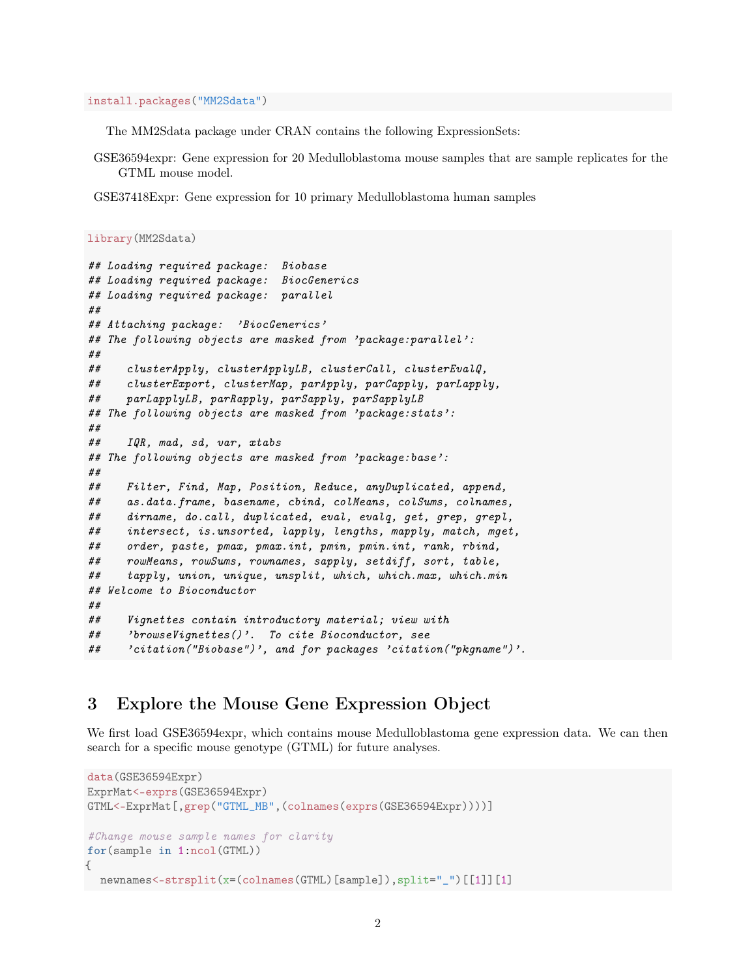install.packages("MM2Sdata")

The MM2Sdata package under CRAN contains the following ExpressionSets:

GSE36594expr: Gene expression for 20 Medulloblastoma mouse samples that are sample replicates for the GTML mouse model.

GSE37418Expr: Gene expression for 10 primary Medulloblastoma human samples

```
library(MM2Sdata)
```

```
## Loading required package: Biobase
## Loading required package: BiocGenerics
## Loading required package: parallel
##
## Attaching package: 'BiocGenerics'
## The following objects are masked from 'package:parallel':
##
## clusterApply, clusterApplyLB, clusterCall, clusterEvalQ,
## clusterExport, clusterMap, parApply, parCapply, parLapply,
## parLapplyLB, parRapply, parSapply, parSapplyLB
## The following objects are masked from 'package:stats':
##
## IQR, mad, sd, var, xtabs
## The following objects are masked from 'package:base':
##
## Filter, Find, Map, Position, Reduce, anyDuplicated, append,
## as.data.frame, basename, cbind, colMeans, colSums, colnames,
## dirname, do.call, duplicated, eval, evalq, get, grep, grepl,
## intersect, is.unsorted, lapply, lengths, mapply, match, mget,
## order, paste, pmax, pmax.int, pmin, pmin.int, rank, rbind,
## rowMeans, rowSums, rownames, sapply, setdiff, sort, table,
## tapply, union, unique, unsplit, which, which.max, which.min
## Welcome to Bioconductor
##
## Vignettes contain introductory material; view with
## 'browseVignettes()'. To cite Bioconductor, see
## 'citation("Biobase")', and for packages 'citation("pkgname")'.
```
#### 3 Explore the Mouse Gene Expression Object

We first load GSE36594expr, which contains mouse Medulloblastoma gene expression data. We can then search for a specific mouse genotype (GTML) for future analyses.

```
data(GSE36594Expr)
ExprMat<-exprs(GSE36594Expr)
GTML<-ExprMat[,grep("GTML_MB",(colnames(exprs(GSE36594Expr))))]
#Change mouse sample names for clarity
for(sample in 1:ncol(GTML))
{
 newnames<-strsplit(x=(colnames(GTML)[sample]),split="_")[[1]][1]
```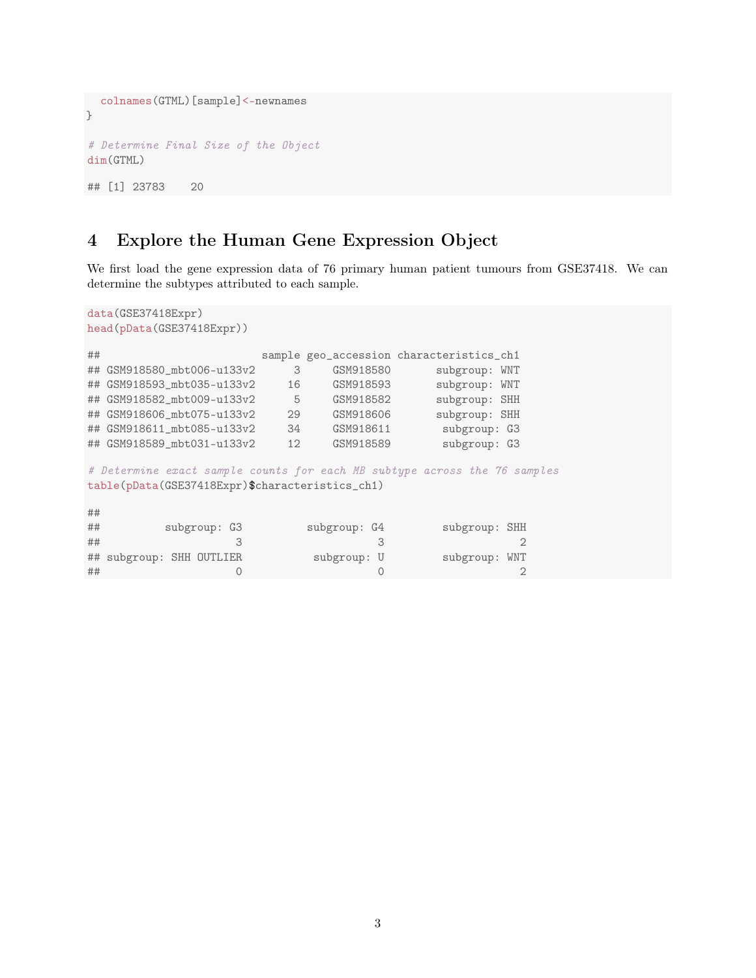```
colnames(GTML)[sample]<-newnames
}
# Determine Final Size of the Object
dim(GTML)
## [1] 23783 20
```
# 4 Explore the Human Gene Expression Object

We first load the gene expression data of 76 primary human patient tumours from GSE37418. We can determine the subtypes attributed to each sample.

```
data(GSE37418Expr)
head(pData(GSE37418Expr))
## sample geo_accession characteristics_ch1
## GSM918580_mbt006-u133v2 3 GSM918580 subgroup: WNT
## GSM918593_mbt035-u133v2 16 GSM918593 subgroup: WNT
## GSM918582_mbt009-u133v2 5 GSM918582 subgroup: SHH
## GSM918606_mbt075-u133v2 29 GSM918606 subgroup: SHH
## GSM918611_mbt085-u133v2 34 GSM918611 subgroup: G3
## GSM918589_mbt031-u133v2 12 GSM918589 subgroup: G3
# Determine exact sample counts for each MB subtype across the 76 samples
table(pData(GSE37418Expr)$characteristics_ch1)
##
## subgroup: G3 subgroup: G4 subgroup: SHH
\# \# 3 3 3 3 3 3 3 3 3 3 3 3 4 \# 3 3 4 \# 3 3 4 \# 3 3 4 \# 3 3 4 \# 3 \# 3 \# 3 \# 3 \# 3 \# 3 \# 3 \# 3 \# 3 \# 3 \# 3 \# 3 \# 3 \# 3 \# 3 \# 3 \# 3 \# 3 \# 3 \# 3 ## subgroup: SHH OUTLIER subgroup: U subgroup: WNT
```
## 0 0 2